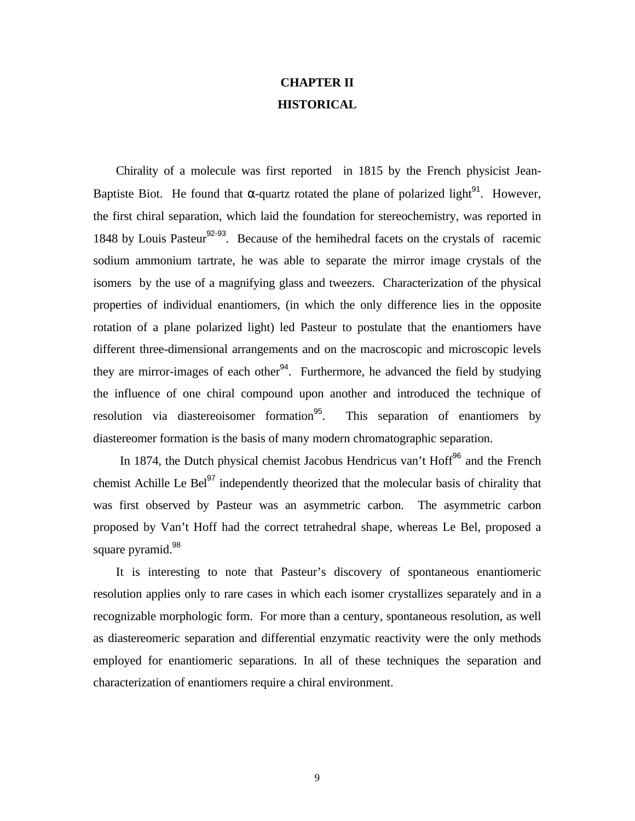# **CHAPTER II HISTORICAL**

 Chirality of a molecule was first reported in 1815 by the French physicist Jean-Baptiste Biot. He found that  $\alpha$ -quartz rotated the plane of polarized light<sup>91</sup>. However, the first chiral separation, which laid the foundation for stereochemistry, was reported in 1848 by Louis Pasteur<sup>92-93</sup>. Because of the hemihedral facets on the crystals of racemic sodium ammonium tartrate, he was able to separate the mirror image crystals of the isomers by the use of a magnifying glass and tweezers. Characterization of the physical properties of individual enantiomers, (in which the only difference lies in the opposite rotation of a plane polarized light) led Pasteur to postulate that the enantiomers have different three-dimensional arrangements and on the macroscopic and microscopic levels they are mirror-images of each other<sup>94</sup>. Furthermore, he advanced the field by studying the influence of one chiral compound upon another and introduced the technique of resolution via diastereoisomer formation<sup>95</sup>. This separation of enantiomers by diastereomer formation is the basis of many modern chromatographic separation.

In 1874, the Dutch physical chemist Jacobus Hendricus van't Hoff<sup>96</sup> and the French chemist Achille Le Bel $^{97}$  independently theorized that the molecular basis of chirality that was first observed by Pasteur was an asymmetric carbon. The asymmetric carbon proposed by Van't Hoff had the correct tetrahedral shape, whereas Le Bel, proposed a square pyramid.<sup>98</sup>

 It is interesting to note that Pasteur's discovery of spontaneous enantiomeric resolution applies only to rare cases in which each isomer crystallizes separately and in a recognizable morphologic form. For more than a century, spontaneous resolution, as well as diastereomeric separation and differential enzymatic reactivity were the only methods employed for enantiomeric separations. In all of these techniques the separation and characterization of enantiomers require a chiral environment.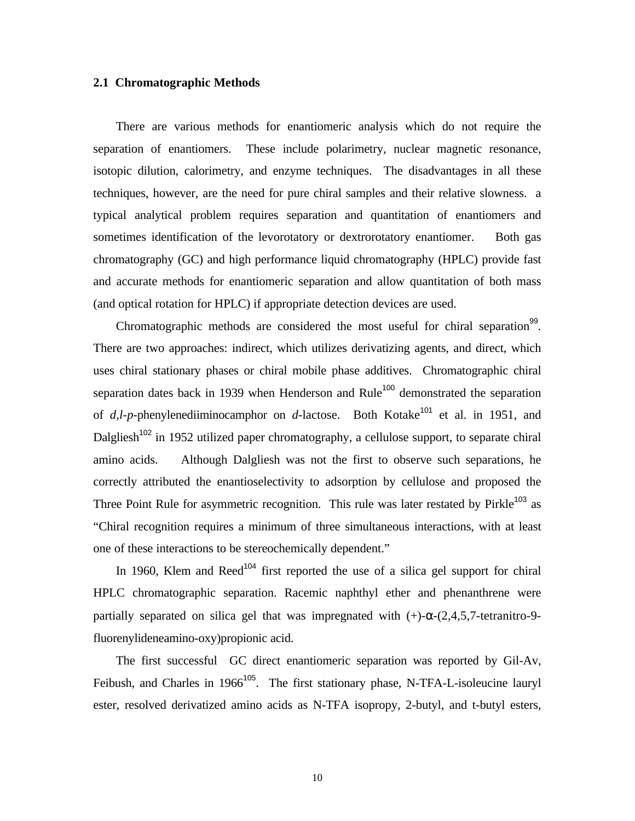## **2.1 Chromatographic Methods**

 There are various methods for enantiomeric analysis which do not require the separation of enantiomers. These include polarimetry, nuclear magnetic resonance, isotopic dilution, calorimetry, and enzyme techniques. The disadvantages in all these techniques, however, are the need for pure chiral samples and their relative slowness. a typical analytical problem requires separation and quantitation of enantiomers and sometimes identification of the levorotatory or dextrorotatory enantiomer. Both gas chromatography (GC) and high performance liquid chromatography (HPLC) provide fast and accurate methods for enantiomeric separation and allow quantitation of both mass (and optical rotation for HPLC) if appropriate detection devices are used.

Chromatographic methods are considered the most useful for chiral separation<sup>99</sup>. There are two approaches: indirect, which utilizes derivatizing agents, and direct, which uses chiral stationary phases or chiral mobile phase additives. Chromatographic chiral separation dates back in 1939 when Henderson and Rule<sup>100</sup> demonstrated the separation of  $d, l-p$ -phenylenediiminocamphor on  $d$ -lactose. Both Kotake<sup>101</sup> et al. in 1951, and Dalgliesh<sup>102</sup> in 1952 utilized paper chromatography, a cellulose support, to separate chiral amino acids. Although Dalgliesh was not the first to observe such separations, he correctly attributed the enantioselectivity to adsorption by cellulose and proposed the Three Point Rule for asymmetric recognition. This rule was later restated by Pirkle<sup>103</sup> as "Chiral recognition requires a minimum of three simultaneous interactions, with at least one of these interactions to be stereochemically dependent."

In 1960, Klem and Reed<sup>104</sup> first reported the use of a silica gel support for chiral HPLC chromatographic separation. Racemic naphthyl ether and phenanthrene were partially separated on silica gel that was impregnated with  $(+)$ - $\alpha$ - $(2,4,5,7)$ -tetranitro-9fluorenylideneamino-oxy)propionic acid.

 The first successful GC direct enantiomeric separation was reported by Gil-Av, Feibush, and Charles in 1966<sup>105</sup>. The first stationary phase, N-TFA-L-isoleucine lauryl ester, resolved derivatized amino acids as N-TFA isopropy, 2-butyl, and t-butyl esters,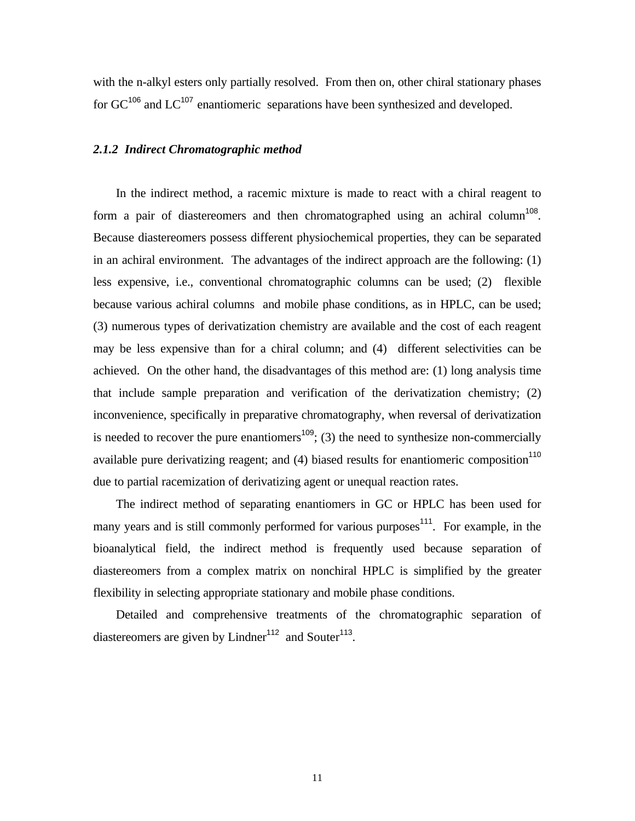with the n-alkyl esters only partially resolved. From then on, other chiral stationary phases for  $GC^{106}$  and  $LC^{107}$  enantiomeric separations have been synthesized and developed.

## *2.1.2 Indirect Chromatographic method*

 In the indirect method, a racemic mixture is made to react with a chiral reagent to form a pair of diastereomers and then chromatographed using an achiral column<sup>108</sup>. Because diastereomers possess different physiochemical properties, they can be separated in an achiral environment. The advantages of the indirect approach are the following: (1) less expensive, i.e., conventional chromatographic columns can be used; (2) flexible because various achiral columns and mobile phase conditions, as in HPLC, can be used; (3) numerous types of derivatization chemistry are available and the cost of each reagent may be less expensive than for a chiral column; and (4) different selectivities can be achieved. On the other hand, the disadvantages of this method are: (1) long analysis time that include sample preparation and verification of the derivatization chemistry; (2) inconvenience, specifically in preparative chromatography, when reversal of derivatization is needed to recover the pure enantiomers<sup>109</sup>; (3) the need to synthesize non-commercially available pure derivatizing reagent; and  $(4)$  biased results for enantiomeric composition<sup>110</sup> due to partial racemization of derivatizing agent or unequal reaction rates.

 The indirect method of separating enantiomers in GC or HPLC has been used for many years and is still commonly performed for various purposes<sup>111</sup>. For example, in the bioanalytical field, the indirect method is frequently used because separation of diastereomers from a complex matrix on nonchiral HPLC is simplified by the greater flexibility in selecting appropriate stationary and mobile phase conditions.

 Detailed and comprehensive treatments of the chromatographic separation of diastereomers are given by Lindner<sup>112</sup> and Souter<sup>113</sup>.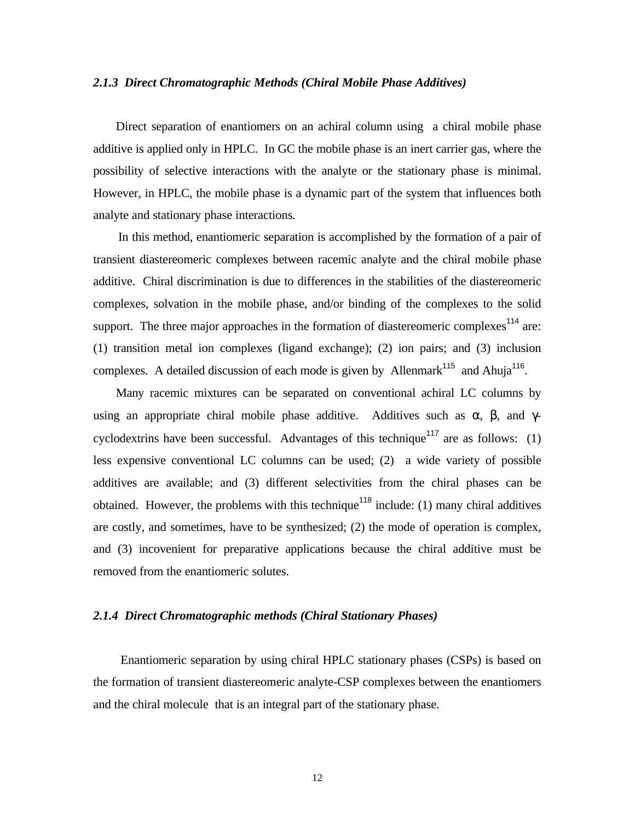#### *2.1.3 Direct Chromatographic Methods (Chiral Mobile Phase Additives)*

 Direct separation of enantiomers on an achiral column using a chiral mobile phase additive is applied only in HPLC. In GC the mobile phase is an inert carrier gas, where the possibility of selective interactions with the analyte or the stationary phase is minimal. However, in HPLC, the mobile phase is a dynamic part of the system that influences both analyte and stationary phase interactions.

 In this method, enantiomeric separation is accomplished by the formation of a pair of transient diastereomeric complexes between racemic analyte and the chiral mobile phase additive. Chiral discrimination is due to differences in the stabilities of the diastereomeric complexes, solvation in the mobile phase, and/or binding of the complexes to the solid support. The three major approaches in the formation of diastereomeric complexes<sup>114</sup> are: (1) transition metal ion complexes (ligand exchange); (2) ion pairs; and (3) inclusion complexes. A detailed discussion of each mode is given by Allenmark<sup>115</sup> and Ahuja<sup>116</sup>.

 Many racemic mixtures can be separated on conventional achiral LC columns by using an appropriate chiral mobile phase additive. Additives such as  $\alpha$ ,  $\beta$ , and  $\gamma$ cyclodextrins have been successful. Advantages of this technique<sup>117</sup> are as follows: (1) less expensive conventional LC columns can be used; (2) a wide variety of possible additives are available; and (3) different selectivities from the chiral phases can be obtained. However, the problems with this technique<sup>118</sup> include: (1) many chiral additives are costly, and sometimes, have to be synthesized; (2) the mode of operation is complex, and (3) incovenient for preparative applications because the chiral additive must be removed from the enantiomeric solutes.

## *2.1.4 Direct Chromatographic methods (Chiral Stationary Phases)*

 Enantiomeric separation by using chiral HPLC stationary phases (CSPs) is based on the formation of transient diastereomeric analyte-CSP complexes between the enantiomers and the chiral molecule that is an integral part of the stationary phase.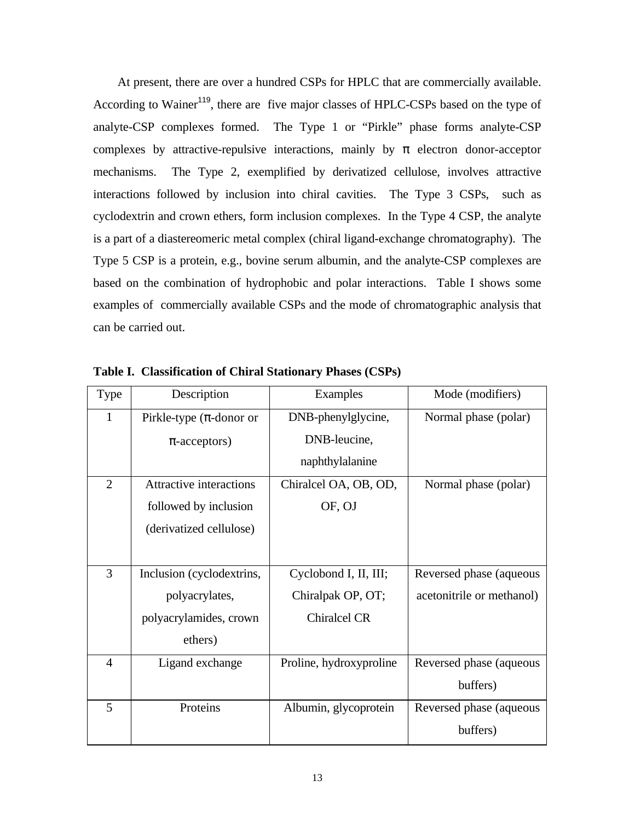At present, there are over a hundred CSPs for HPLC that are commercially available. According to Wainer<sup>119</sup>, there are five major classes of HPLC-CSPs based on the type of analyte-CSP complexes formed. The Type 1 or "Pirkle" phase forms analyte-CSP complexes by attractive-repulsive interactions, mainly by  $\pi$  electron donor-acceptor mechanisms. The Type 2, exemplified by derivatized cellulose, involves attractive interactions followed by inclusion into chiral cavities. The Type 3 CSPs, such as cyclodextrin and crown ethers, form inclusion complexes. In the Type 4 CSP, the analyte is a part of a diastereomeric metal complex (chiral ligand-exchange chromatography). The Type 5 CSP is a protein, e.g., bovine serum albumin, and the analyte-CSP complexes are based on the combination of hydrophobic and polar interactions. Table I shows some examples of commercially available CSPs and the mode of chromatographic analysis that can be carried out.

| Type           | Description                    | Examples                | Mode (modifiers)          |
|----------------|--------------------------------|-------------------------|---------------------------|
| $\mathbf{1}$   | Pirkle-type $(\pi$ -donor or   | DNB-phenylglycine,      | Normal phase (polar)      |
|                | $\pi$ -acceptors)              | DNB-leucine,            |                           |
|                |                                | naphthylalanine         |                           |
| $\overline{2}$ | <b>Attractive interactions</b> | Chiralcel OA, OB, OD,   | Normal phase (polar)      |
|                | followed by inclusion          | OF, OJ                  |                           |
|                | (derivatized cellulose)        |                         |                           |
|                |                                |                         |                           |
| 3              | Inclusion (cyclodextrins,      | Cyclobond I, II, III;   | Reversed phase (aqueous   |
|                | polyacrylates,                 | Chiralpak OP, OT;       | acetonitrile or methanol) |
|                | polyacrylamides, crown         | <b>Chiralcel CR</b>     |                           |
|                | ethers)                        |                         |                           |
| $\overline{4}$ | Ligand exchange                | Proline, hydroxyproline | Reversed phase (aqueous   |
|                |                                |                         | buffers)                  |
| 5              | Proteins                       | Albumin, glycoprotein   | Reversed phase (aqueous   |
|                |                                |                         | buffers)                  |

**Table I. Classification of Chiral Stationary Phases (CSPs)**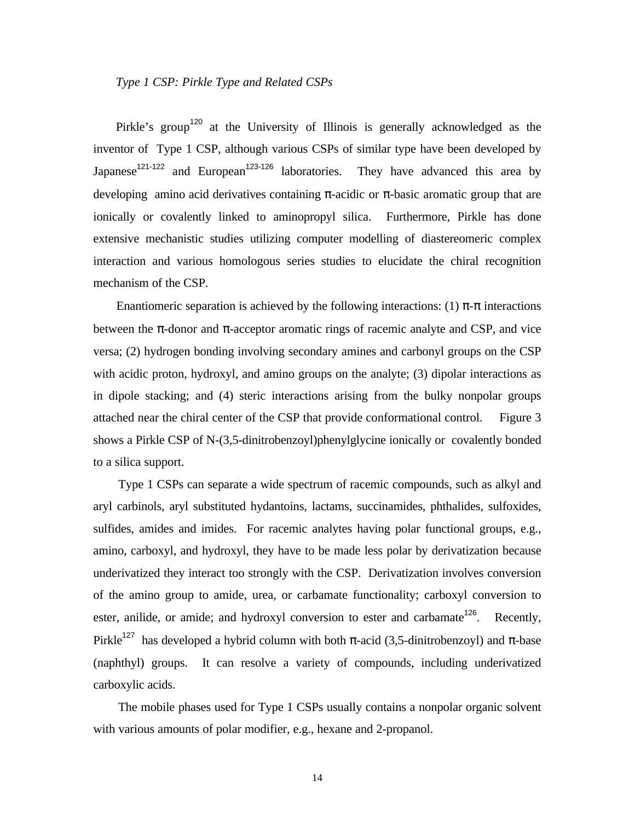## *Type 1 CSP: Pirkle Type and Related CSPs*

Pirkle's group<sup>120</sup> at the University of Illinois is generally acknowledged as the inventor of Type 1 CSP, although various CSPs of similar type have been developed by Japanese<sup>121-122</sup> and European<sup>123-126</sup> laboratories. They have advanced this area by developing amino acid derivatives containing  $\pi$ -acidic or  $\pi$ -basic aromatic group that are ionically or covalently linked to aminopropyl silica. Furthermore, Pirkle has done extensive mechanistic studies utilizing computer modelling of diastereomeric complex interaction and various homologous series studies to elucidate the chiral recognition mechanism of the CSP.

Enantiomeric separation is achieved by the following interactions: (1)  $\pi$ - $\pi$  interactions between the  $\pi$ -donor and  $\pi$ -acceptor aromatic rings of racemic analyte and CSP, and vice versa; (2) hydrogen bonding involving secondary amines and carbonyl groups on the CSP with acidic proton, hydroxyl, and amino groups on the analyte; (3) dipolar interactions as in dipole stacking; and (4) steric interactions arising from the bulky nonpolar groups attached near the chiral center of the CSP that provide conformational control. Figure 3 shows a Pirkle CSP of N-(3,5-dinitrobenzoyl)phenylglycine ionically or covalently bonded to a silica support.

 Type 1 CSPs can separate a wide spectrum of racemic compounds, such as alkyl and aryl carbinols, aryl substituted hydantoins, lactams, succinamides, phthalides, sulfoxides, sulfides, amides and imides. For racemic analytes having polar functional groups, e.g., amino, carboxyl, and hydroxyl, they have to be made less polar by derivatization because underivatized they interact too strongly with the CSP. Derivatization involves conversion of the amino group to amide, urea, or carbamate functionality; carboxyl conversion to ester, anilide, or amide; and hydroxyl conversion to ester and carbamate<sup>126</sup>. Recently, Pirkle<sup>127</sup> has developed a hybrid column with both  $\pi$ -acid (3,5-dinitrobenzoyl) and  $\pi$ -base (naphthyl) groups. It can resolve a variety of compounds, including underivatized carboxylic acids.

 The mobile phases used for Type 1 CSPs usually contains a nonpolar organic solvent with various amounts of polar modifier, e.g., hexane and 2-propanol.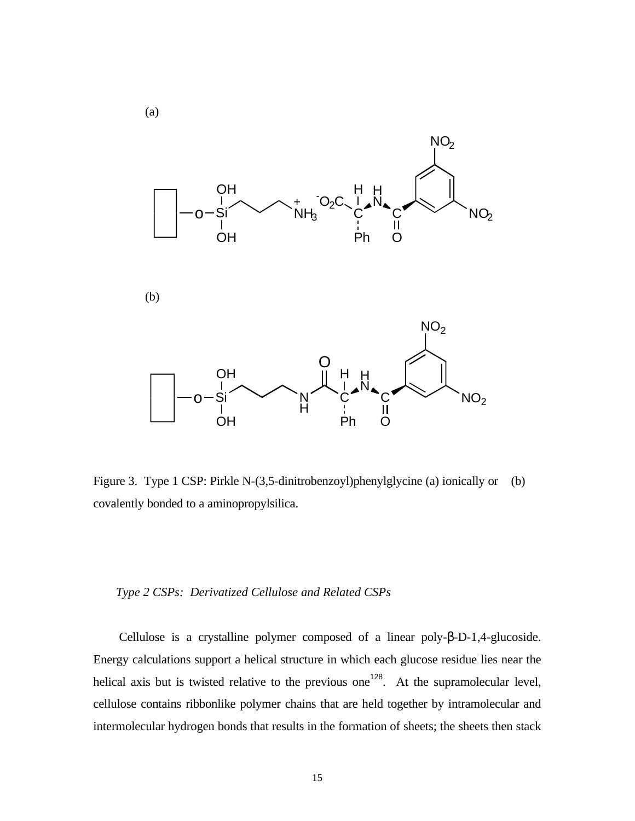

Figure 3. Type 1 CSP: Pirkle N-(3,5-dinitrobenzoyl)phenylglycine (a) ionically or (b) covalently bonded to a aminopropylsilica.

## *Type 2 CSPs: Derivatized Cellulose and Related CSPs*

 Cellulose is a crystalline polymer composed of a linear poly-β-D-1,4-glucoside. Energy calculations support a helical structure in which each glucose residue lies near the helical axis but is twisted relative to the previous one<sup>128</sup>. At the supramolecular level, cellulose contains ribbonlike polymer chains that are held together by intramolecular and intermolecular hydrogen bonds that results in the formation of sheets; the sheets then stack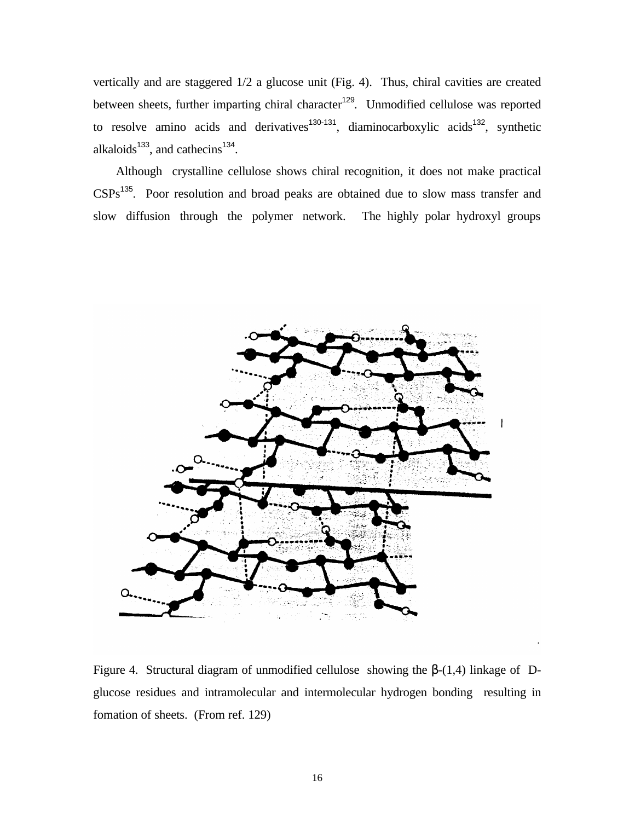vertically and are staggered 1/2 a glucose unit (Fig. 4). Thus, chiral cavities are created between sheets, further imparting chiral character<sup>129</sup>. Unmodified cellulose was reported to resolve amino acids and derivatives<sup>130-131</sup>, diaminocarboxylic acids<sup>132</sup>, synthetic alkaloids $^{133}$ , and cathecins $^{134}$ .

 Although crystalline cellulose shows chiral recognition, it does not make practical CSPs<sup>135</sup>. Poor resolution and broad peaks are obtained due to slow mass transfer and slow diffusion through the polymer network. The highly polar hydroxyl groups



Figure 4. Structural diagram of unmodified cellulose showing the  $β-(1,4)$  linkage of Dglucose residues and intramolecular and intermolecular hydrogen bonding resulting in fomation of sheets. (From ref. 129)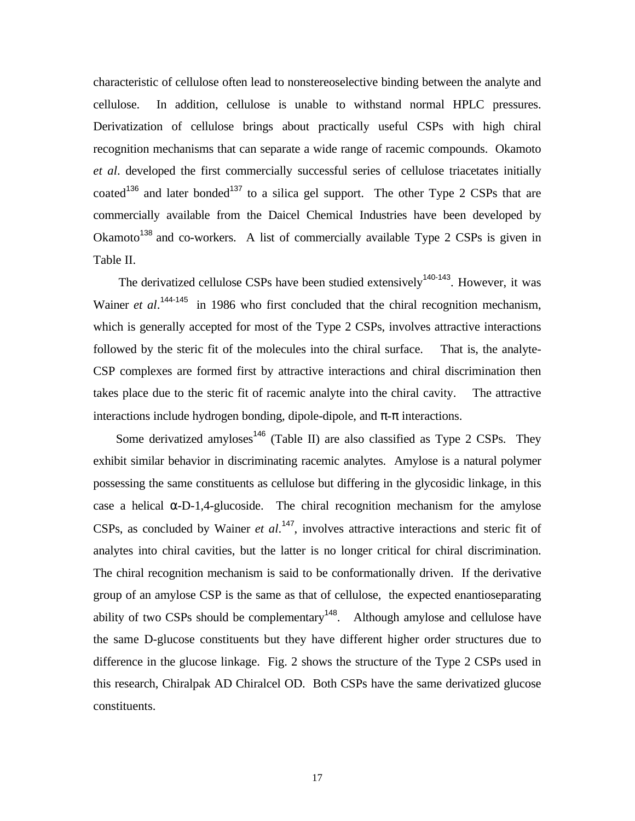characteristic of cellulose often lead to nonstereoselective binding between the analyte and cellulose. In addition, cellulose is unable to withstand normal HPLC pressures. Derivatization of cellulose brings about practically useful CSPs with high chiral recognition mechanisms that can separate a wide range of racemic compounds. Okamoto *et al*. developed the first commercially successful series of cellulose triacetates initially coated<sup>136</sup> and later bonded<sup>137</sup> to a silica gel support. The other Type 2 CSPs that are commercially available from the Daicel Chemical Industries have been developed by Okamoto<sup>138</sup> and co-workers. A list of commercially available Type 2 CSPs is given in Table II.

The derivatized cellulose CSPs have been studied extensively<sup>140-143</sup>. However, it was Wainer *et al.*<sup>144-145</sup> in 1986 who first concluded that the chiral recognition mechanism, which is generally accepted for most of the Type 2 CSPs, involves attractive interactions followed by the steric fit of the molecules into the chiral surface. That is, the analyte-CSP complexes are formed first by attractive interactions and chiral discrimination then takes place due to the steric fit of racemic analyte into the chiral cavity. The attractive interactions include hydrogen bonding, dipole-dipole, and  $\pi$ - $\pi$  interactions.

Some derivatized amyloses<sup>146</sup> (Table II) are also classified as Type 2 CSPs. They exhibit similar behavior in discriminating racemic analytes. Amylose is a natural polymer possessing the same constituents as cellulose but differing in the glycosidic linkage, in this case a helical  $\alpha$ -D-1,4-glucoside. The chiral recognition mechanism for the amylose CSPs, as concluded by Wainer *et al*. <sup>147</sup>, involves attractive interactions and steric fit of analytes into chiral cavities, but the latter is no longer critical for chiral discrimination. The chiral recognition mechanism is said to be conformationally driven. If the derivative group of an amylose CSP is the same as that of cellulose, the expected enantioseparating ability of two CSPs should be complementary<sup>148</sup>. Although amylose and cellulose have the same D-glucose constituents but they have different higher order structures due to difference in the glucose linkage. Fig. 2 shows the structure of the Type 2 CSPs used in this research, Chiralpak AD Chiralcel OD. Both CSPs have the same derivatized glucose constituents.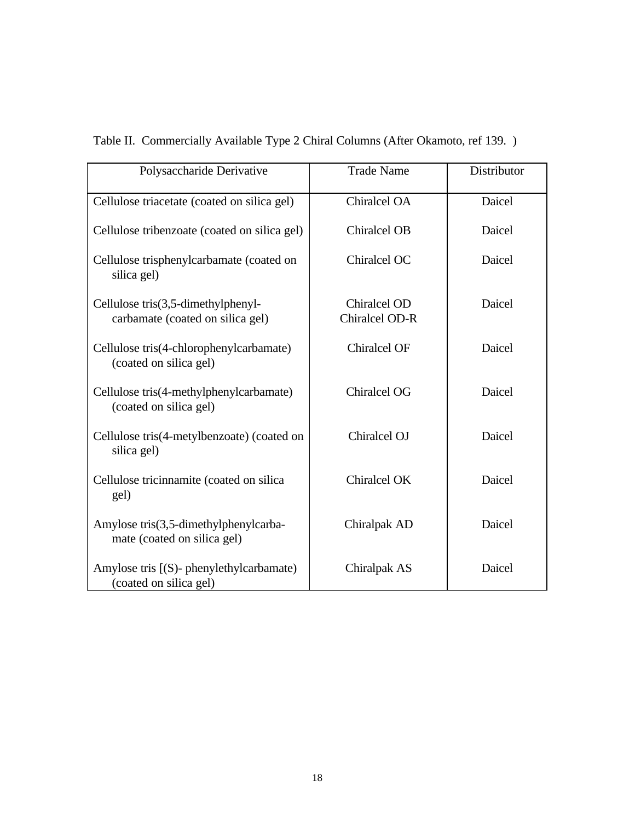| Polysaccharide Derivative                                                 | <b>Trade Name</b>              | Distributor |
|---------------------------------------------------------------------------|--------------------------------|-------------|
| Cellulose triacetate (coated on silica gel)                               | Chiralcel OA                   | Daicel      |
| Cellulose tribenzoate (coated on silica gel)                              | <b>Chiralcel OB</b>            | Daicel      |
| Cellulose trisphenylcarbamate (coated on<br>silica gel)                   | Chiralcel OC                   | Daicel      |
| Cellulose $tris(3,5$ -dimethylphenyl-<br>carbamate (coated on silica gel) | Chiralcel OD<br>Chiralcel OD-R | Daicel      |
| Cellulose tris(4-chlorophenylcarbamate)<br>(coated on silica gel)         | <b>Chiralcel OF</b>            | Daicel      |
| Cellulose tris(4-methylphenylcarbamate)<br>(coated on silica gel)         | <b>Chiralcel OG</b>            | Daicel      |
| Cellulose tris(4-metylbenzoate) (coated on<br>silica gel)                 | Chiralcel OJ                   | Daicel      |
| Cellulose tricinnamite (coated on silica<br>gel)                          | Chiralcel OK                   | Daicel      |
| Amylose tris(3,5-dimethylphenylcarba-<br>mate (coated on silica gel)      | Chiralpak AD                   | Daicel      |
| Amylose tris [(S)- phenylethylcarbamate)<br>(coated on silica gel)        | Chiralpak AS                   | Daicel      |

Table II. Commercially Available Type 2 Chiral Columns (After Okamoto, ref 139. )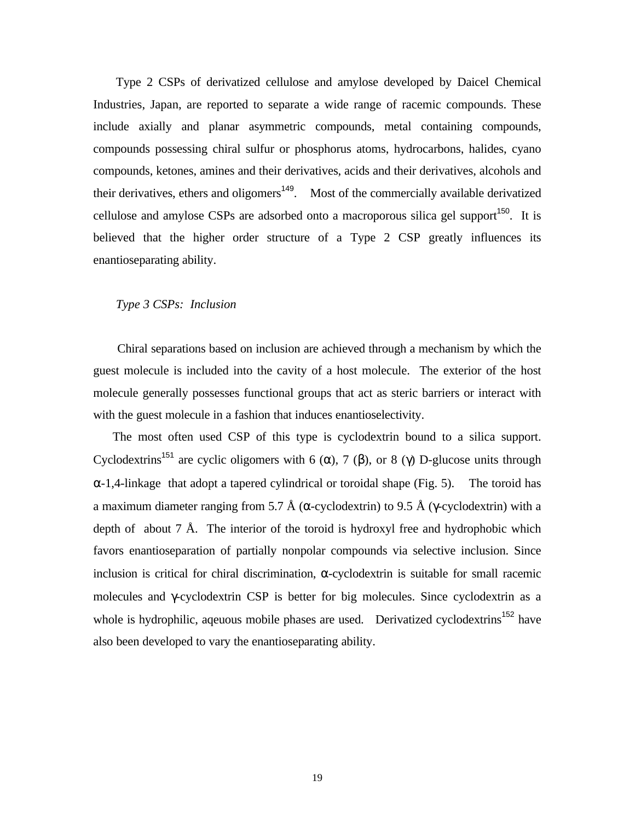Type 2 CSPs of derivatized cellulose and amylose developed by Daicel Chemical Industries, Japan, are reported to separate a wide range of racemic compounds. These include axially and planar asymmetric compounds, metal containing compounds, compounds possessing chiral sulfur or phosphorus atoms, hydrocarbons, halides, cyano compounds, ketones, amines and their derivatives, acids and their derivatives, alcohols and their derivatives, ethers and oligomers<sup>149</sup>. Most of the commercially available derivatized cellulose and amylose CSPs are adsorbed onto a macroporous silica gel support<sup>150</sup>. It is believed that the higher order structure of a Type 2 CSP greatly influences its enantioseparating ability.

## *Type 3 CSPs: Inclusion*

 Chiral separations based on inclusion are achieved through a mechanism by which the guest molecule is included into the cavity of a host molecule. The exterior of the host molecule generally possesses functional groups that act as steric barriers or interact with with the guest molecule in a fashion that induces enantioselectivity.

 The most often used CSP of this type is cyclodextrin bound to a silica support. Cyclodextrins<sup>151</sup> are cyclic oligomers with 6 ( $\alpha$ ), 7 ( $\beta$ ), or 8 ( $\gamma$ ) D-glucose units through  $\alpha$ -1,4-linkage that adopt a tapered cylindrical or toroidal shape (Fig. 5). The toroid has a maximum diameter ranging from 5.7 Å (α-cyclodextrin) to 9.5 Å (γ-cyclodextrin) with a depth of about 7 Å. The interior of the toroid is hydroxyl free and hydrophobic which favors enantioseparation of partially nonpolar compounds via selective inclusion. Since inclusion is critical for chiral discrimination,  $\alpha$ -cyclodextrin is suitable for small racemic molecules and γ-cyclodextrin CSP is better for big molecules. Since cyclodextrin as a whole is hydrophilic, aqeuous mobile phases are used. Derivatized cyclodextrins<sup>152</sup> have also been developed to vary the enantioseparating ability.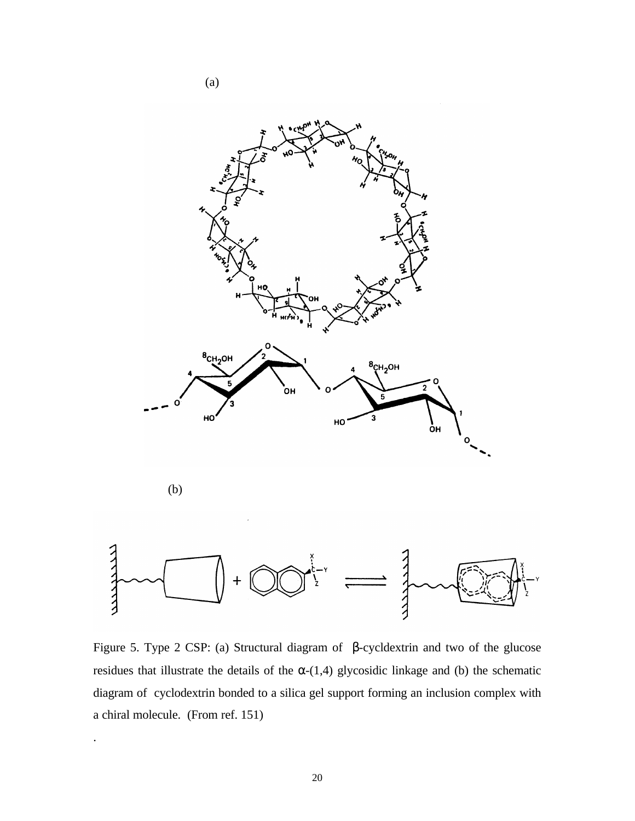

Figure 5. Type 2 CSP: (a) Structural diagram of β-cycldextrin and two of the glucose residues that illustrate the details of the  $\alpha$ -(1,4) glycosidic linkage and (b) the schematic diagram of cyclodextrin bonded to a silica gel support forming an inclusion complex with a chiral molecule. (From ref. 151)

.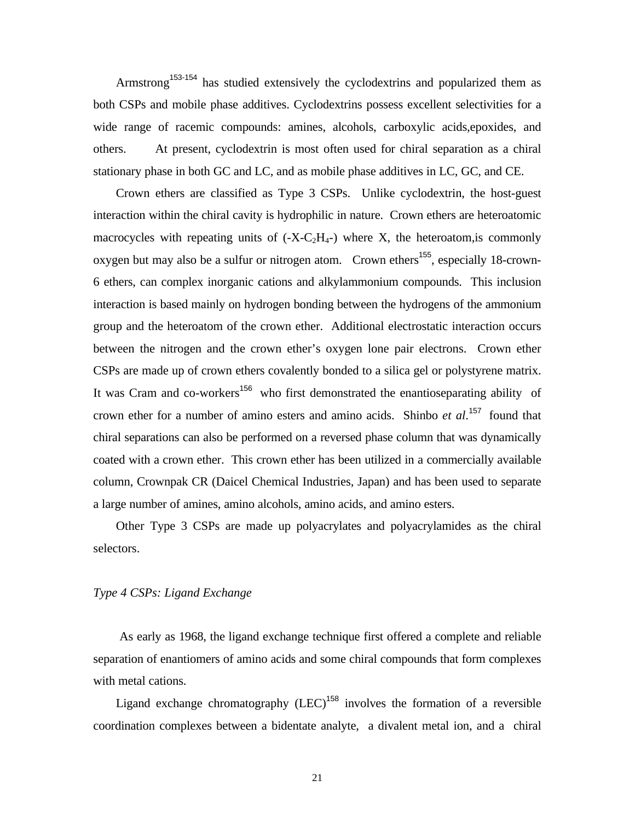Armstrong<sup>153-154</sup> has studied extensively the cyclodextrins and popularized them as both CSPs and mobile phase additives. Cyclodextrins possess excellent selectivities for a wide range of racemic compounds: amines, alcohols, carboxylic acids,epoxides, and others. At present, cyclodextrin is most often used for chiral separation as a chiral stationary phase in both GC and LC, and as mobile phase additives in LC, GC, and CE.

 Crown ethers are classified as Type 3 CSPs. Unlike cyclodextrin, the host-guest interaction within the chiral cavity is hydrophilic in nature. Crown ethers are heteroatomic macrocycles with repeating units of  $(-X-C<sub>2</sub>H<sub>4</sub>)$  where X, the heteroatom, is commonly oxygen but may also be a sulfur or nitrogen atom. Crown ethers<sup>155</sup>, especially 18-crown-6 ethers, can complex inorganic cations and alkylammonium compounds. This inclusion interaction is based mainly on hydrogen bonding between the hydrogens of the ammonium group and the heteroatom of the crown ether. Additional electrostatic interaction occurs between the nitrogen and the crown ether's oxygen lone pair electrons. Crown ether CSPs are made up of crown ethers covalently bonded to a silica gel or polystyrene matrix. It was Cram and co-workers<sup>156</sup> who first demonstrated the enantioseparating ability of crown ether for a number of amino esters and amino acids. Shinbo *et al*. <sup>157</sup> found that chiral separations can also be performed on a reversed phase column that was dynamically coated with a crown ether. This crown ether has been utilized in a commercially available column, Crownpak CR (Daicel Chemical Industries, Japan) and has been used to separate a large number of amines, amino alcohols, amino acids, and amino esters.

 Other Type 3 CSPs are made up polyacrylates and polyacrylamides as the chiral selectors.

# *Type 4 CSPs: Ligand Exchange*

 As early as 1968, the ligand exchange technique first offered a complete and reliable separation of enantiomers of amino acids and some chiral compounds that form complexes with metal cations.

Ligand exchange chromatography  $(LEC)^{158}$  involves the formation of a reversible coordination complexes between a bidentate analyte, a divalent metal ion, and a chiral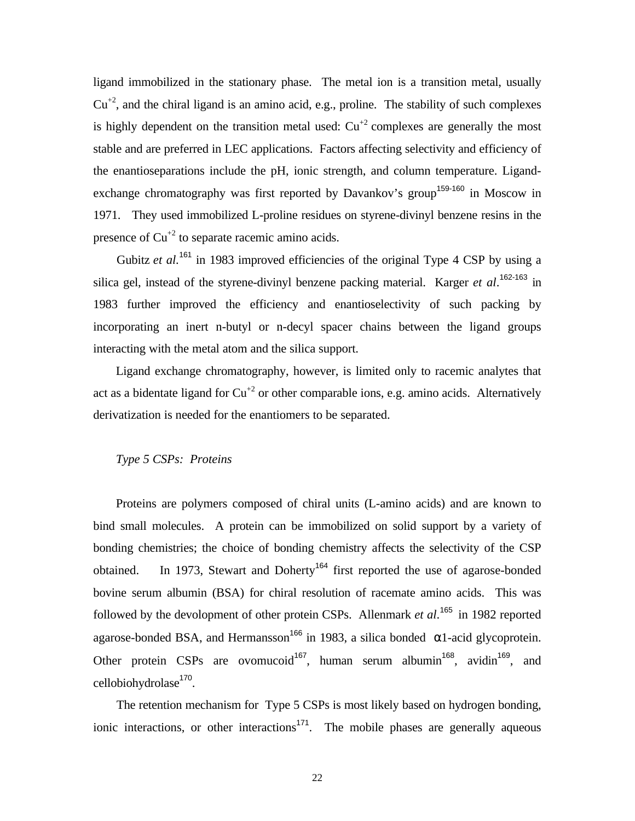ligand immobilized in the stationary phase. The metal ion is a transition metal, usually  $Cu^{+2}$ , and the chiral ligand is an amino acid, e.g., proline. The stability of such complexes is highly dependent on the transition metal used:  $Cu^{2}$  complexes are generally the most stable and are preferred in LEC applications. Factors affecting selectivity and efficiency of the enantioseparations include the pH, ionic strength, and column temperature. Ligandexchange chromatography was first reported by Davankov's group<sup>159-160</sup> in Moscow in 1971. They used immobilized L-proline residues on styrene-divinyl benzene resins in the presence of  $Cu^{2}$  to separate racemic amino acids.

Gubitz *et al.*<sup>161</sup> in 1983 improved efficiencies of the original Type 4 CSP by using a silica gel, instead of the styrene-divinyl benzene packing material. Karger *et al*. 162-163 in 1983 further improved the efficiency and enantioselectivity of such packing by incorporating an inert n-butyl or n-decyl spacer chains between the ligand groups interacting with the metal atom and the silica support.

 Ligand exchange chromatography, however, is limited only to racemic analytes that act as a bidentate ligand for  $Cu^{2}$  or other comparable ions, e.g. amino acids. Alternatively derivatization is needed for the enantiomers to be separated.

## *Type 5 CSPs: Proteins*

 Proteins are polymers composed of chiral units (L-amino acids) and are known to bind small molecules. A protein can be immobilized on solid support by a variety of bonding chemistries; the choice of bonding chemistry affects the selectivity of the CSP obtained. In 1973, Stewart and Doherty<sup>164</sup> first reported the use of agarose-bonded bovine serum albumin (BSA) for chiral resolution of racemate amino acids. This was followed by the devolopment of other protein CSPs. Allenmark *et al*.<sup>165</sup> in 1982 reported agarose-bonded BSA, and Hermansson<sup>166</sup> in 1983, a silica bonded  $\alpha$ 1-acid glycoprotein. Other protein CSPs are ovomucoid<sup>167</sup>, human serum albumin<sup>168</sup>, avidin<sup>169</sup>, and cellobiohydrolase<sup>170</sup>.

 The retention mechanism for Type 5 CSPs is most likely based on hydrogen bonding, ionic interactions, or other interactions<sup>171</sup>. The mobile phases are generally aqueous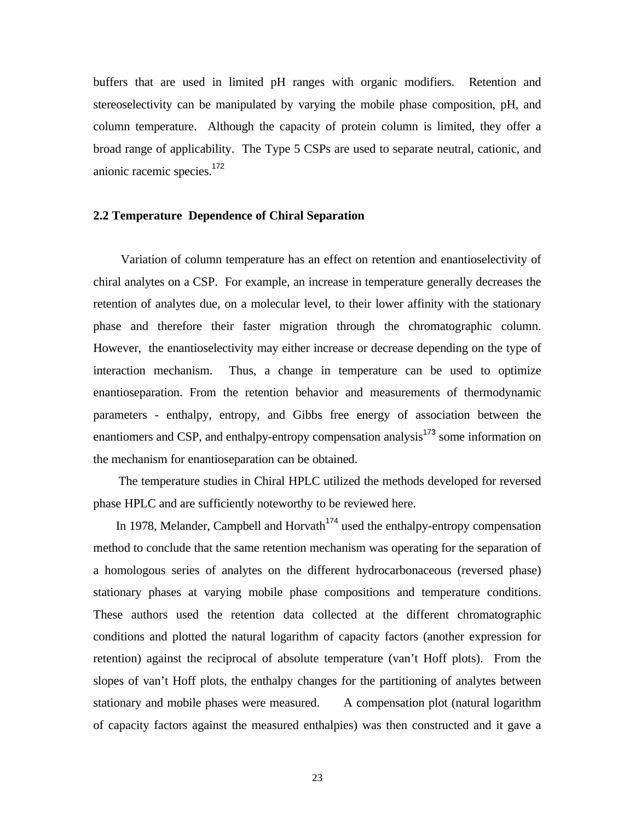buffers that are used in limited pH ranges with organic modifiers. Retention and stereoselectivity can be manipulated by varying the mobile phase composition, pH, and column temperature. Although the capacity of protein column is limited, they offer a broad range of applicability. The Type 5 CSPs are used to separate neutral, cationic, and anionic racemic species.<sup>172</sup>

## **2.2 Temperature Dependence of Chiral Separation**

 Variation of column temperature has an effect on retention and enantioselectivity of chiral analytes on a CSP. For example, an increase in temperature generally decreases the retention of analytes due, on a molecular level, to their lower affinity with the stationary phase and therefore their faster migration through the chromatographic column. However, the enantioselectivity may either increase or decrease depending on the type of interaction mechanism. Thus, a change in temperature can be used to optimize enantioseparation. From the retention behavior and measurements of thermodynamic parameters - enthalpy, entropy, and Gibbs free energy of association between the enantiomers and CSP, and enthalpy-entropy compensation analysis<sup>173</sup> some information on the mechanism for enantioseparation can be obtained.

 The temperature studies in Chiral HPLC utilized the methods developed for reversed phase HPLC and are sufficiently noteworthy to be reviewed here.

In 1978, Melander, Campbell and Horvath<sup> $174$ </sup> used the enthalpy-entropy compensation method to conclude that the same retention mechanism was operating for the separation of a homologous series of analytes on the different hydrocarbonaceous (reversed phase) stationary phases at varying mobile phase compositions and temperature conditions. These authors used the retention data collected at the different chromatographic conditions and plotted the natural logarithm of capacity factors (another expression for retention) against the reciprocal of absolute temperature (van't Hoff plots). From the slopes of van't Hoff plots, the enthalpy changes for the partitioning of analytes between stationary and mobile phases were measured. A compensation plot (natural logarithm of capacity factors against the measured enthalpies) was then constructed and it gave a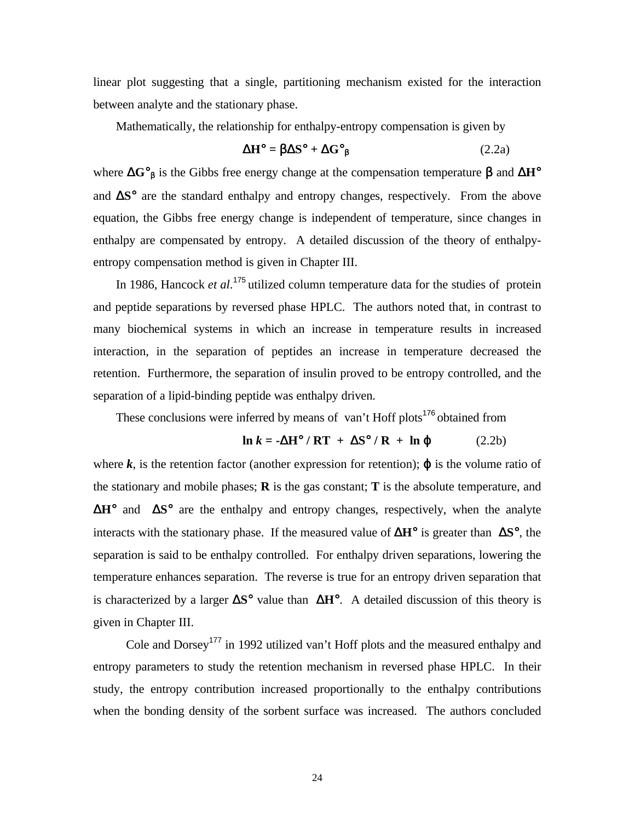linear plot suggesting that a single, partitioning mechanism existed for the interaction between analyte and the stationary phase.

Mathematically, the relationship for enthalpy-entropy compensation is given by

$$
\Delta H^{\circ} = \beta \Delta S^{\circ} + \Delta G^{\circ}{}_{\beta} \tag{2.2a}
$$

where Δ**G**°β is the Gibbs free energy change at the compensation temperature β and Δ**H**° and Δ**S**° are the standard enthalpy and entropy changes, respectively. From the above equation, the Gibbs free energy change is independent of temperature, since changes in enthalpy are compensated by entropy. A detailed discussion of the theory of enthalpyentropy compensation method is given in Chapter III.

In 1986, Hancock *et al.*<sup>175</sup> utilized column temperature data for the studies of protein and peptide separations by reversed phase HPLC. The authors noted that, in contrast to many biochemical systems in which an increase in temperature results in increased interaction, in the separation of peptides an increase in temperature decreased the retention. Furthermore, the separation of insulin proved to be entropy controlled, and the separation of a lipid-binding peptide was enthalpy driven.

These conclusions were inferred by means of van't Hoff plots<sup>176</sup> obtained from

$$
\ln k = -\Delta H^{\circ} / RT + \Delta S^{\circ} / R + \ln \varphi \tag{2.2b}
$$

where  $k$ , is the retention factor (another expression for retention);  $\varphi$  is the volume ratio of the stationary and mobile phases; **R** is the gas constant; **T** is the absolute temperature, and Δ**H**° and Δ**S**° are the enthalpy and entropy changes, respectively, when the analyte interacts with the stationary phase. If the measured value of Δ**H**° is greater than Δ**S**°, the separation is said to be enthalpy controlled. For enthalpy driven separations, lowering the temperature enhances separation. The reverse is true for an entropy driven separation that is characterized by a larger Δ**S**° value than Δ**H**°. A detailed discussion of this theory is given in Chapter III.

Cole and Dorsey<sup>177</sup> in 1992 utilized van't Hoff plots and the measured enthalpy and entropy parameters to study the retention mechanism in reversed phase HPLC. In their study, the entropy contribution increased proportionally to the enthalpy contributions when the bonding density of the sorbent surface was increased. The authors concluded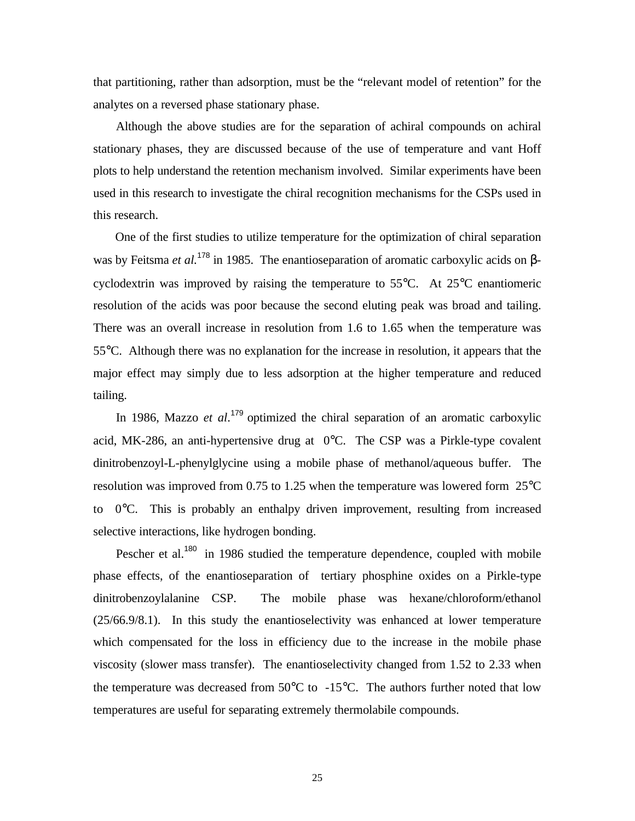that partitioning, rather than adsorption, must be the "relevant model of retention" for the analytes on a reversed phase stationary phase.

 Although the above studies are for the separation of achiral compounds on achiral stationary phases, they are discussed because of the use of temperature and vant Hoff plots to help understand the retention mechanism involved. Similar experiments have been used in this research to investigate the chiral recognition mechanisms for the CSPs used in this research.

 One of the first studies to utilize temperature for the optimization of chiral separation was by Feitsma *et al.*<sup>178</sup> in 1985. The enantioseparation of aromatic carboxylic acids on βcyclodextrin was improved by raising the temperature to 55°C. At 25°C enantiomeric resolution of the acids was poor because the second eluting peak was broad and tailing. There was an overall increase in resolution from 1.6 to 1.65 when the temperature was 55°C. Although there was no explanation for the increase in resolution, it appears that the major effect may simply due to less adsorption at the higher temperature and reduced tailing.

In 1986, Mazzo *et al.*<sup>179</sup> optimized the chiral separation of an aromatic carboxylic acid, MK-286, an anti-hypertensive drug at 0°C. The CSP was a Pirkle-type covalent dinitrobenzoyl-L-phenylglycine using a mobile phase of methanol/aqueous buffer. The resolution was improved from 0.75 to 1.25 when the temperature was lowered form 25°C to  $0^{\circ}$ C. This is probably an enthalpy driven improvement, resulting from increased selective interactions, like hydrogen bonding.

Pescher et al.<sup>180</sup> in 1986 studied the temperature dependence, coupled with mobile phase effects, of the enantioseparation of tertiary phosphine oxides on a Pirkle-type dinitrobenzoylalanine CSP. The mobile phase was hexane/chloroform/ethanol (25/66.9/8.1). In this study the enantioselectivity was enhanced at lower temperature which compensated for the loss in efficiency due to the increase in the mobile phase viscosity (slower mass transfer). The enantioselectivity changed from 1.52 to 2.33 when the temperature was decreased from  $50^{\circ}$ C to  $-15^{\circ}$ C. The authors further noted that low temperatures are useful for separating extremely thermolabile compounds.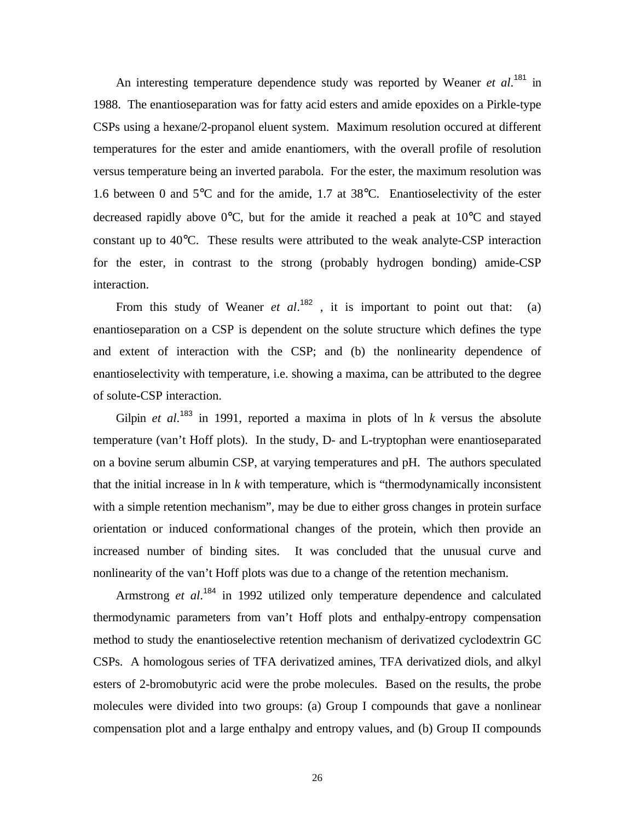An interesting temperature dependence study was reported by Weaner *et al.*<sup>181</sup> in 1988. The enantioseparation was for fatty acid esters and amide epoxides on a Pirkle-type CSPs using a hexane/2-propanol eluent system. Maximum resolution occured at different temperatures for the ester and amide enantiomers, with the overall profile of resolution versus temperature being an inverted parabola. For the ester, the maximum resolution was 1.6 between 0 and 5°C and for the amide, 1.7 at 38°C. Enantioselectivity of the ester decreased rapidly above 0°C, but for the amide it reached a peak at 10°C and stayed constant up to 40°C. These results were attributed to the weak analyte-CSP interaction for the ester, in contrast to the strong (probably hydrogen bonding) amide-CSP interaction.

From this study of Weaner *et al*.<sup>182</sup>, it is important to point out that: (a) enantioseparation on a CSP is dependent on the solute structure which defines the type and extent of interaction with the CSP; and (b) the nonlinearity dependence of enantioselectivity with temperature, i.e. showing a maxima, can be attributed to the degree of solute-CSP interaction.

Gilpin *et al.*<sup>183</sup> in 1991, reported a maxima in plots of ln *k* versus the absolute temperature (van't Hoff plots). In the study, D- and L-tryptophan were enantioseparated on a bovine serum albumin CSP, at varying temperatures and pH. The authors speculated that the initial increase in ln *k* with temperature, which is "thermodynamically inconsistent with a simple retention mechanism", may be due to either gross changes in protein surface orientation or induced conformational changes of the protein, which then provide an increased number of binding sites. It was concluded that the unusual curve and nonlinearity of the van't Hoff plots was due to a change of the retention mechanism.

Armstrong *et al.*<sup>184</sup> in 1992 utilized only temperature dependence and calculated thermodynamic parameters from van't Hoff plots and enthalpy-entropy compensation method to study the enantioselective retention mechanism of derivatized cyclodextrin GC CSPs. A homologous series of TFA derivatized amines, TFA derivatized diols, and alkyl esters of 2-bromobutyric acid were the probe molecules. Based on the results, the probe molecules were divided into two groups: (a) Group I compounds that gave a nonlinear compensation plot and a large enthalpy and entropy values, and (b) Group II compounds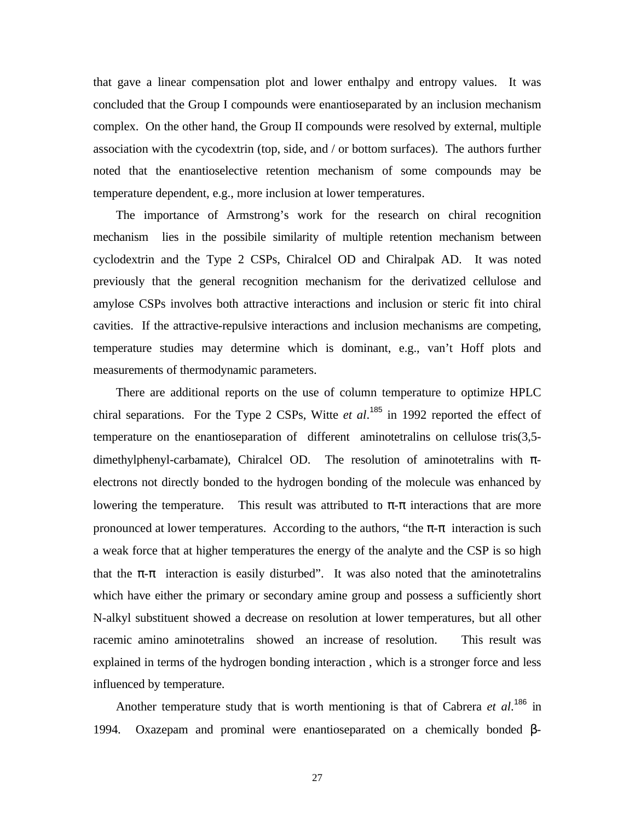that gave a linear compensation plot and lower enthalpy and entropy values. It was concluded that the Group I compounds were enantioseparated by an inclusion mechanism complex. On the other hand, the Group II compounds were resolved by external, multiple association with the cycodextrin (top, side, and / or bottom surfaces). The authors further noted that the enantioselective retention mechanism of some compounds may be temperature dependent, e.g., more inclusion at lower temperatures.

 The importance of Armstrong's work for the research on chiral recognition mechanism lies in the possibile similarity of multiple retention mechanism between cyclodextrin and the Type 2 CSPs, Chiralcel OD and Chiralpak AD. It was noted previously that the general recognition mechanism for the derivatized cellulose and amylose CSPs involves both attractive interactions and inclusion or steric fit into chiral cavities. If the attractive-repulsive interactions and inclusion mechanisms are competing, temperature studies may determine which is dominant, e.g., van't Hoff plots and measurements of thermodynamic parameters.

 There are additional reports on the use of column temperature to optimize HPLC chiral separations. For the Type 2 CSPs, Witte *et al.*<sup>185</sup> in 1992 reported the effect of temperature on the enantioseparation of different aminotetralins on cellulose tris(3,5 dimethylphenyl-carbamate), Chiralcel OD. The resolution of aminotetralins with πelectrons not directly bonded to the hydrogen bonding of the molecule was enhanced by lowering the temperature. This result was attributed to  $\pi$ - $\pi$  interactions that are more pronounced at lower temperatures. According to the authors, "the  $\pi$ - $\pi$  interaction is such a weak force that at higher temperatures the energy of the analyte and the CSP is so high that the  $\pi$ - $\pi$  interaction is easily disturbed". It was also noted that the aminotetralins which have either the primary or secondary amine group and possess a sufficiently short N-alkyl substituent showed a decrease on resolution at lower temperatures, but all other racemic amino aminotetralins showed an increase of resolution. This result was explained in terms of the hydrogen bonding interaction , which is a stronger force and less influenced by temperature.

Another temperature study that is worth mentioning is that of Cabrera *et al.*<sup>186</sup> in 1994. Oxazepam and prominal were enantioseparated on a chemically bonded β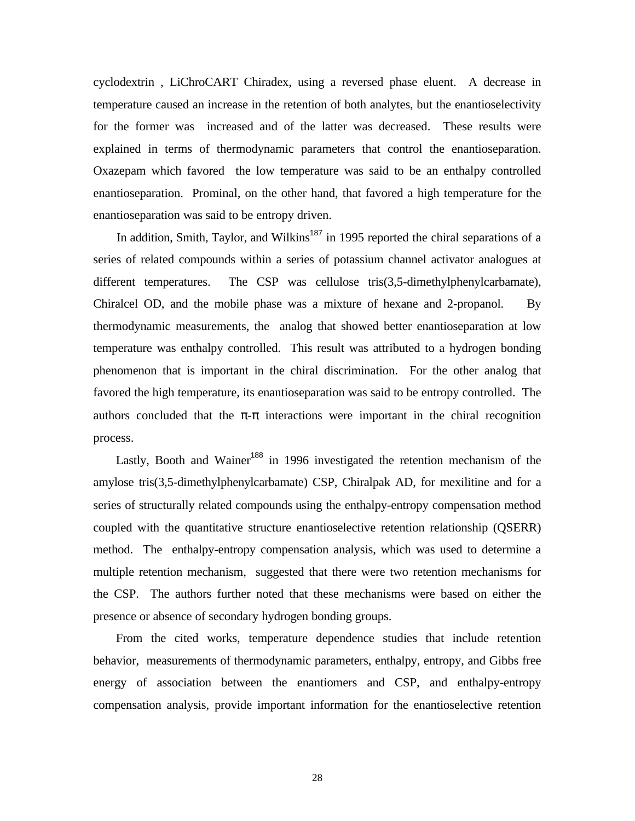cyclodextrin , LiChroCART Chiradex, using a reversed phase eluent. A decrease in temperature caused an increase in the retention of both analytes, but the enantioselectivity for the former was increased and of the latter was decreased. These results were explained in terms of thermodynamic parameters that control the enantioseparation. Oxazepam which favored the low temperature was said to be an enthalpy controlled enantioseparation. Prominal, on the other hand, that favored a high temperature for the enantioseparation was said to be entropy driven.

In addition, Smith, Taylor, and Wilkins<sup>187</sup> in 1995 reported the chiral separations of a series of related compounds within a series of potassium channel activator analogues at different temperatures. The CSP was cellulose tris(3,5-dimethylphenylcarbamate), Chiralcel OD, and the mobile phase was a mixture of hexane and 2-propanol. By thermodynamic measurements, the analog that showed better enantioseparation at low temperature was enthalpy controlled. This result was attributed to a hydrogen bonding phenomenon that is important in the chiral discrimination. For the other analog that favored the high temperature, its enantioseparation was said to be entropy controlled. The authors concluded that the  $\pi$ - $\pi$  interactions were important in the chiral recognition process.

Lastly, Booth and Wainer<sup>188</sup> in 1996 investigated the retention mechanism of the amylose tris(3,5-dimethylphenylcarbamate) CSP, Chiralpak AD, for mexilitine and for a series of structurally related compounds using the enthalpy-entropy compensation method coupled with the quantitative structure enantioselective retention relationship (QSERR) method. The enthalpy-entropy compensation analysis, which was used to determine a multiple retention mechanism, suggested that there were two retention mechanisms for the CSP. The authors further noted that these mechanisms were based on either the presence or absence of secondary hydrogen bonding groups.

 From the cited works, temperature dependence studies that include retention behavior, measurements of thermodynamic parameters, enthalpy, entropy, and Gibbs free energy of association between the enantiomers and CSP, and enthalpy-entropy compensation analysis, provide important information for the enantioselective retention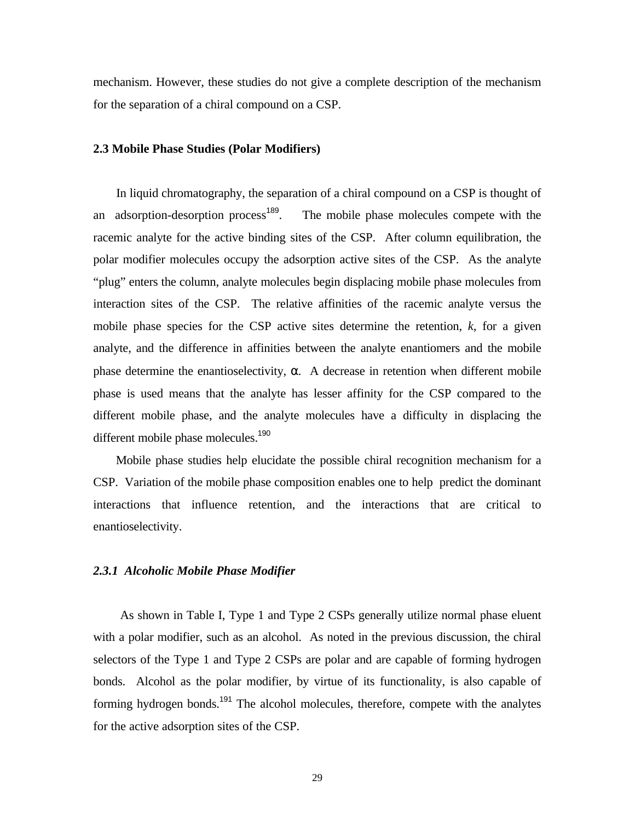mechanism. However, these studies do not give a complete description of the mechanism for the separation of a chiral compound on a CSP.

#### **2.3 Mobile Phase Studies (Polar Modifiers)**

 In liquid chromatography, the separation of a chiral compound on a CSP is thought of an adsorption-desorption process<sup>189</sup>. The mobile phase molecules compete with the racemic analyte for the active binding sites of the CSP. After column equilibration, the polar modifier molecules occupy the adsorption active sites of the CSP. As the analyte "plug" enters the column, analyte molecules begin displacing mobile phase molecules from interaction sites of the CSP. The relative affinities of the racemic analyte versus the mobile phase species for the CSP active sites determine the retention, *k*, for a given analyte, and the difference in affinities between the analyte enantiomers and the mobile phase determine the enantioselectivity, α. A decrease in retention when different mobile phase is used means that the analyte has lesser affinity for the CSP compared to the different mobile phase, and the analyte molecules have a difficulty in displacing the different mobile phase molecules.<sup>190</sup>

 Mobile phase studies help elucidate the possible chiral recognition mechanism for a CSP. Variation of the mobile phase composition enables one to help predict the dominant interactions that influence retention, and the interactions that are critical to enantioselectivity.

#### *2.3.1 Alcoholic Mobile Phase Modifier*

 As shown in Table I, Type 1 and Type 2 CSPs generally utilize normal phase eluent with a polar modifier, such as an alcohol. As noted in the previous discussion, the chiral selectors of the Type 1 and Type 2 CSPs are polar and are capable of forming hydrogen bonds. Alcohol as the polar modifier, by virtue of its functionality, is also capable of forming hydrogen bonds.<sup>191</sup> The alcohol molecules, therefore, compete with the analytes for the active adsorption sites of the CSP.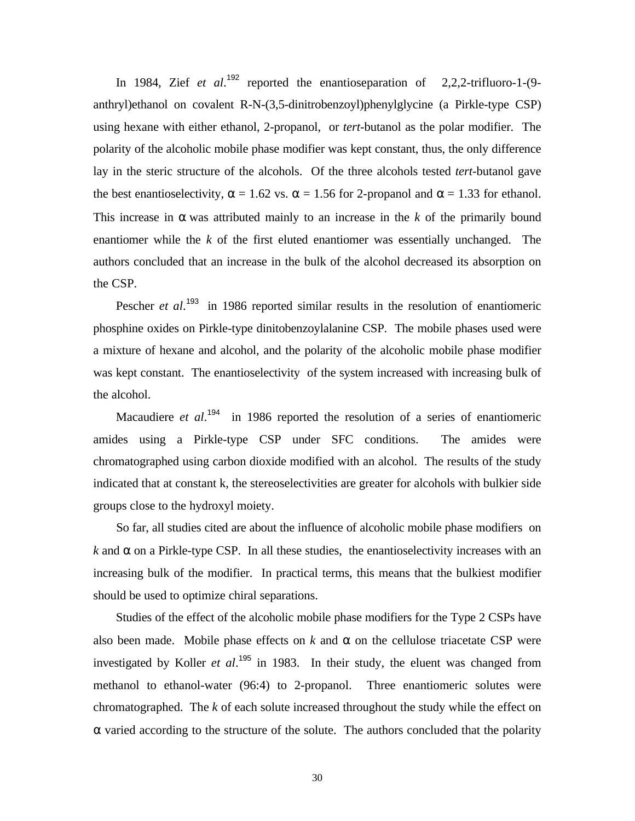In 1984, Zief *et al.*<sup>192</sup> reported the enantioseparation of 2,2,2-trifluoro-1-(9anthryl)ethanol on covalent R-N-(3,5-dinitrobenzoyl)phenylglycine (a Pirkle-type CSP) using hexane with either ethanol, 2-propanol, or *tert*-butanol as the polar modifier. The polarity of the alcoholic mobile phase modifier was kept constant, thus, the only difference lay in the steric structure of the alcohols. Of the three alcohols tested *tert*-butanol gave the best enantioselectivity,  $\alpha = 1.62$  vs.  $\alpha = 1.56$  for 2-propanol and  $\alpha = 1.33$  for ethanol. This increase in  $\alpha$  was attributed mainly to an increase in the *k* of the primarily bound enantiomer while the *k* of the first eluted enantiomer was essentially unchanged. The authors concluded that an increase in the bulk of the alcohol decreased its absorption on the CSP.

Pescher *et al.*<sup>193</sup> in 1986 reported similar results in the resolution of enantiomeric phosphine oxides on Pirkle-type dinitobenzoylalanine CSP. The mobile phases used were a mixture of hexane and alcohol, and the polarity of the alcoholic mobile phase modifier was kept constant. The enantioselectivity of the system increased with increasing bulk of the alcohol.

Macaudiere *et al.*<sup>194</sup> in 1986 reported the resolution of a series of enantiomeric amides using a Pirkle-type CSP under SFC conditions. The amides were chromatographed using carbon dioxide modified with an alcohol. The results of the study indicated that at constant k, the stereoselectivities are greater for alcohols with bulkier side groups close to the hydroxyl moiety.

 So far, all studies cited are about the influence of alcoholic mobile phase modifiers on  $k$  and  $\alpha$  on a Pirkle-type CSP. In all these studies, the enantioselectivity increases with an increasing bulk of the modifier. In practical terms, this means that the bulkiest modifier should be used to optimize chiral separations.

 Studies of the effect of the alcoholic mobile phase modifiers for the Type 2 CSPs have also been made. Mobile phase effects on  $k$  and  $\alpha$  on the cellulose triacetate CSP were investigated by Koller *et al*. <sup>195</sup> in 1983. In their study, the eluent was changed from methanol to ethanol-water (96:4) to 2-propanol. Three enantiomeric solutes were chromatographed. The *k* of each solute increased throughout the study while the effect on  $\alpha$  varied according to the structure of the solute. The authors concluded that the polarity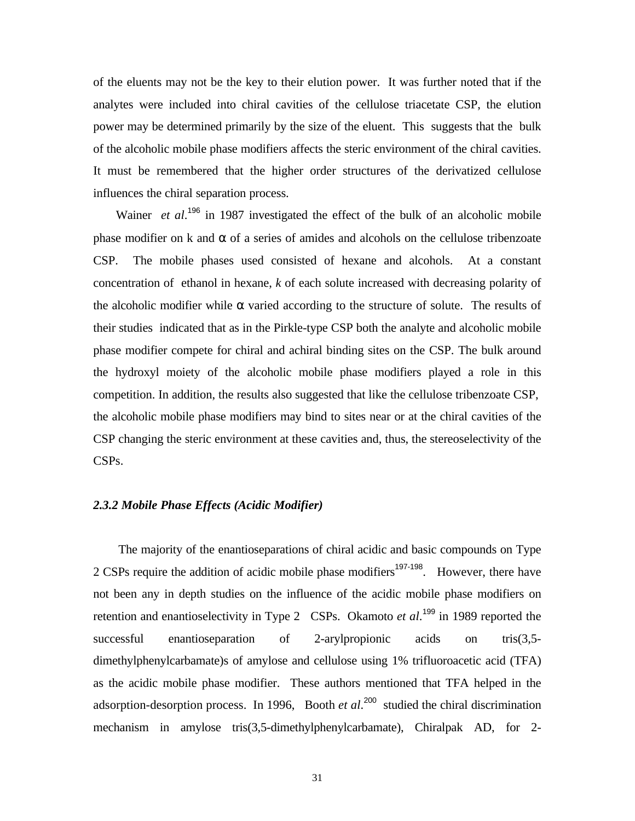of the eluents may not be the key to their elution power. It was further noted that if the analytes were included into chiral cavities of the cellulose triacetate CSP, the elution power may be determined primarily by the size of the eluent. This suggests that the bulk of the alcoholic mobile phase modifiers affects the steric environment of the chiral cavities. It must be remembered that the higher order structures of the derivatized cellulose influences the chiral separation process.

Wainer *et al.*<sup>196</sup> in 1987 investigated the effect of the bulk of an alcoholic mobile phase modifier on k and α of a series of amides and alcohols on the cellulose tribenzoate CSP. The mobile phases used consisted of hexane and alcohols. At a constant concentration of ethanol in hexane, *k* of each solute increased with decreasing polarity of the alcoholic modifier while  $\alpha$  varied according to the structure of solute. The results of their studies indicated that as in the Pirkle-type CSP both the analyte and alcoholic mobile phase modifier compete for chiral and achiral binding sites on the CSP. The bulk around the hydroxyl moiety of the alcoholic mobile phase modifiers played a role in this competition. In addition, the results also suggested that like the cellulose tribenzoate CSP, the alcoholic mobile phase modifiers may bind to sites near or at the chiral cavities of the CSP changing the steric environment at these cavities and, thus, the stereoselectivity of the CSPs.

## *2.3.2 Mobile Phase Effects (Acidic Modifier)*

 The majority of the enantioseparations of chiral acidic and basic compounds on Type 2 CSPs require the addition of acidic mobile phase modifiers<sup>197-198</sup>. However, there have not been any in depth studies on the influence of the acidic mobile phase modifiers on retention and enantioselectivity in Type 2 CSPs. Okamoto *et al*.<sup>199</sup> in 1989 reported the successful enantioseparation of 2-arylpropionic acids on tris(3,5dimethylphenylcarbamate)s of amylose and cellulose using 1% trifluoroacetic acid (TFA) as the acidic mobile phase modifier. These authors mentioned that TFA helped in the adsorption-desorption process. In 1996, Booth *et al*. <sup>200</sup> studied the chiral discrimination mechanism in amylose tris(3,5-dimethylphenylcarbamate), Chiralpak AD, for 2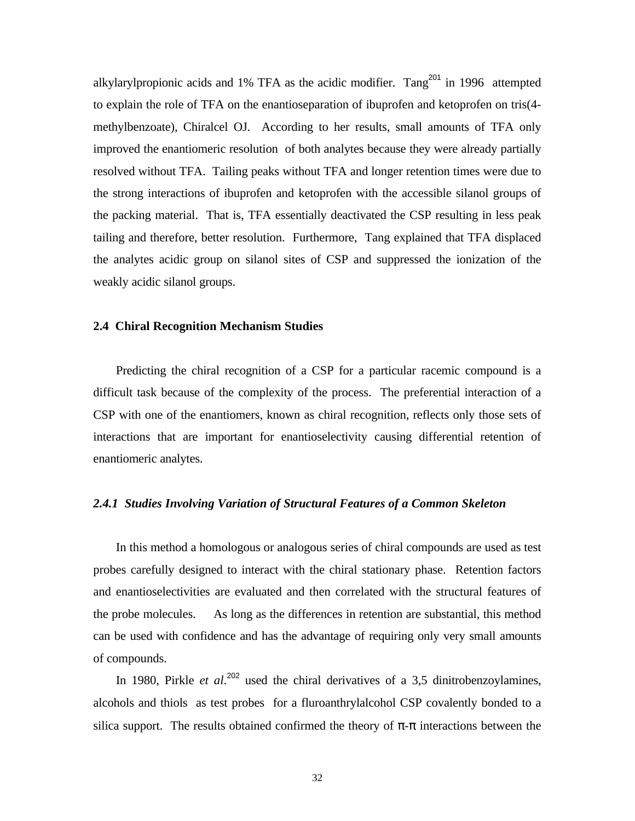alkylarylpropionic acids and 1% TFA as the acidic modifier. Tang<sup>201</sup> in 1996 attempted to explain the role of TFA on the enantioseparation of ibuprofen and ketoprofen on tris(4 methylbenzoate), Chiralcel OJ. According to her results, small amounts of TFA only improved the enantiomeric resolution of both analytes because they were already partially resolved without TFA. Tailing peaks without TFA and longer retention times were due to the strong interactions of ibuprofen and ketoprofen with the accessible silanol groups of the packing material. That is, TFA essentially deactivated the CSP resulting in less peak tailing and therefore, better resolution. Furthermore, Tang explained that TFA displaced the analytes acidic group on silanol sites of CSP and suppressed the ionization of the weakly acidic silanol groups.

#### **2.4 Chiral Recognition Mechanism Studies**

 Predicting the chiral recognition of a CSP for a particular racemic compound is a difficult task because of the complexity of the process. The preferential interaction of a CSP with one of the enantiomers, known as chiral recognition, reflects only those sets of interactions that are important for enantioselectivity causing differential retention of enantiomeric analytes.

#### *2.4.1 Studies Involving Variation of Structural Features of a Common Skeleton*

 In this method a homologous or analogous series of chiral compounds are used as test probes carefully designed to interact with the chiral stationary phase. Retention factors and enantioselectivities are evaluated and then correlated with the structural features of the probe molecules. As long as the differences in retention are substantial, this method can be used with confidence and has the advantage of requiring only very small amounts of compounds.

In 1980, Pirkle *et al.*<sup>202</sup> used the chiral derivatives of a 3,5 dinitrobenzoylamines, alcohols and thiols as test probes for a fluroanthrylalcohol CSP covalently bonded to a silica support. The results obtained confirmed the theory of  $\pi$ - $\pi$  interactions between the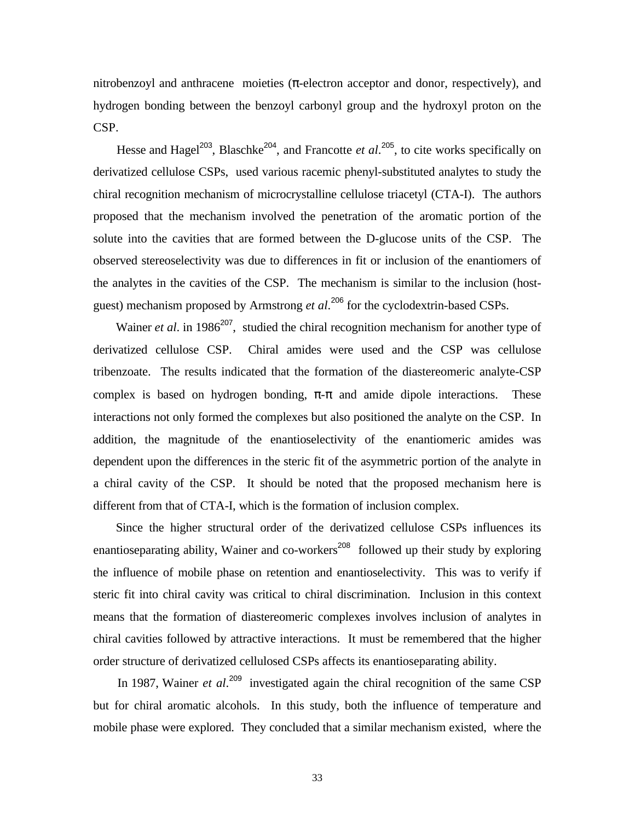nitrobenzoyl and anthracene moieties  $(\pi$ -electron acceptor and donor, respectively), and hydrogen bonding between the benzoyl carbonyl group and the hydroxyl proton on the CSP.

Hesse and Hagel<sup>203</sup>, Blaschke<sup>204</sup>, and Francotte *et al*.<sup>205</sup>, to cite works specifically on derivatized cellulose CSPs, used various racemic phenyl-substituted analytes to study the chiral recognition mechanism of microcrystalline cellulose triacetyl (CTA-I). The authors proposed that the mechanism involved the penetration of the aromatic portion of the solute into the cavities that are formed between the D-glucose units of the CSP. The observed stereoselectivity was due to differences in fit or inclusion of the enantiomers of the analytes in the cavities of the CSP. The mechanism is similar to the inclusion (hostguest) mechanism proposed by Armstrong *et al*. <sup>206</sup> for the cyclodextrin-based CSPs.

Wainer *et al.* in 1986<sup>207</sup>, studied the chiral recognition mechanism for another type of derivatized cellulose CSP. Chiral amides were used and the CSP was cellulose tribenzoate. The results indicated that the formation of the diastereomeric analyte-CSP complex is based on hydrogen bonding,  $\pi$ - $\pi$  and amide dipole interactions. These interactions not only formed the complexes but also positioned the analyte on the CSP. In addition, the magnitude of the enantioselectivity of the enantiomeric amides was dependent upon the differences in the steric fit of the asymmetric portion of the analyte in a chiral cavity of the CSP. It should be noted that the proposed mechanism here is different from that of CTA-I, which is the formation of inclusion complex.

 Since the higher structural order of the derivatized cellulose CSPs influences its enantioseparating ability, Wainer and co-workers<sup>208</sup> followed up their study by exploring the influence of mobile phase on retention and enantioselectivity. This was to verify if steric fit into chiral cavity was critical to chiral discrimination. Inclusion in this context means that the formation of diastereomeric complexes involves inclusion of analytes in chiral cavities followed by attractive interactions. It must be remembered that the higher order structure of derivatized cellulosed CSPs affects its enantioseparating ability.

In 1987, Wainer *et al.*<sup>209</sup> investigated again the chiral recognition of the same CSP but for chiral aromatic alcohols. In this study, both the influence of temperature and mobile phase were explored. They concluded that a similar mechanism existed, where the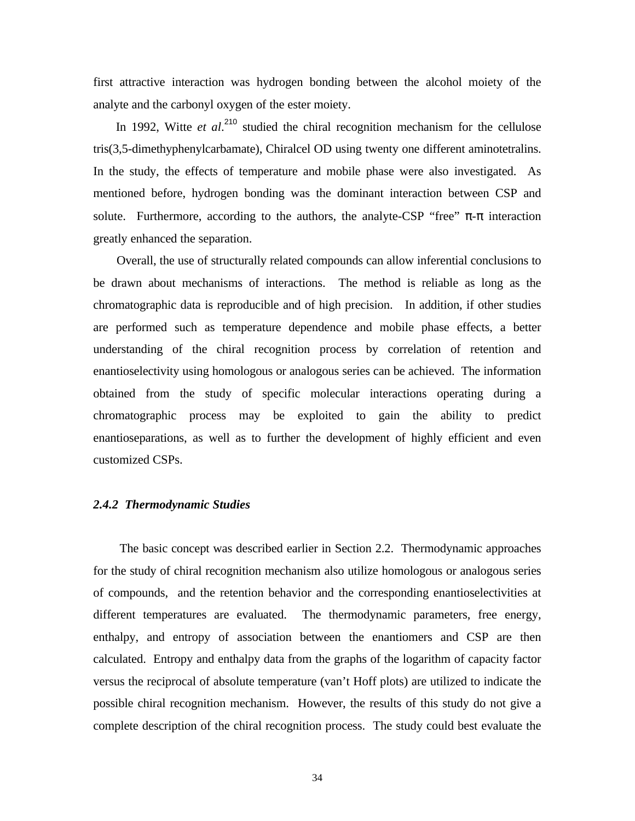first attractive interaction was hydrogen bonding between the alcohol moiety of the analyte and the carbonyl oxygen of the ester moiety.

In 1992, Witte *et al.*<sup>210</sup> studied the chiral recognition mechanism for the cellulose tris(3,5-dimethyphenylcarbamate), Chiralcel OD using twenty one different aminotetralins. In the study, the effects of temperature and mobile phase were also investigated. As mentioned before, hydrogen bonding was the dominant interaction between CSP and solute. Furthermore, according to the authors, the analyte-CSP "free"  $\pi$ - $\pi$  interaction greatly enhanced the separation.

 Overall, the use of structurally related compounds can allow inferential conclusions to be drawn about mechanisms of interactions. The method is reliable as long as the chromatographic data is reproducible and of high precision. In addition, if other studies are performed such as temperature dependence and mobile phase effects, a better understanding of the chiral recognition process by correlation of retention and enantioselectivity using homologous or analogous series can be achieved. The information obtained from the study of specific molecular interactions operating during a chromatographic process may be exploited to gain the ability to predict enantioseparations, as well as to further the development of highly efficient and even customized CSPs.

# *2.4.2 Thermodynamic Studies*

 The basic concept was described earlier in Section 2.2. Thermodynamic approaches for the study of chiral recognition mechanism also utilize homologous or analogous series of compounds, and the retention behavior and the corresponding enantioselectivities at different temperatures are evaluated. The thermodynamic parameters, free energy, enthalpy, and entropy of association between the enantiomers and CSP are then calculated. Entropy and enthalpy data from the graphs of the logarithm of capacity factor versus the reciprocal of absolute temperature (van't Hoff plots) are utilized to indicate the possible chiral recognition mechanism. However, the results of this study do not give a complete description of the chiral recognition process. The study could best evaluate the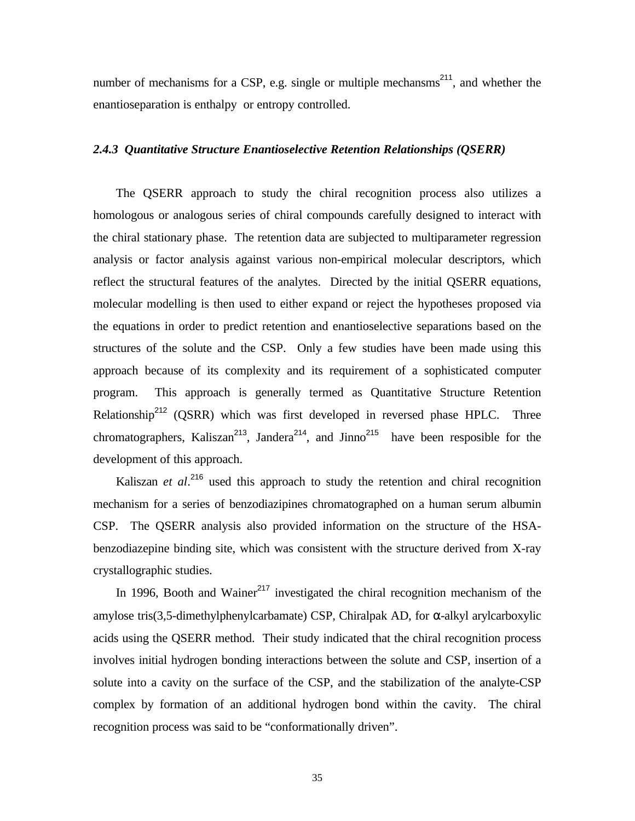number of mechanisms for a CSP, e.g. single or multiple mechansms<sup>211</sup>, and whether the enantioseparation is enthalpy or entropy controlled.

## *2.4.3 Quantitative Structure Enantioselective Retention Relationships (QSERR)*

 The QSERR approach to study the chiral recognition process also utilizes a homologous or analogous series of chiral compounds carefully designed to interact with the chiral stationary phase. The retention data are subjected to multiparameter regression analysis or factor analysis against various non-empirical molecular descriptors, which reflect the structural features of the analytes. Directed by the initial QSERR equations, molecular modelling is then used to either expand or reject the hypotheses proposed via the equations in order to predict retention and enantioselective separations based on the structures of the solute and the CSP. Only a few studies have been made using this approach because of its complexity and its requirement of a sophisticated computer program. This approach is generally termed as Quantitative Structure Retention Relationship<sup>212</sup> (QSRR) which was first developed in reversed phase HPLC. Three chromatographers, Kaliszan<sup>213</sup>, Jandera<sup>214</sup>, and Jinno<sup>215</sup> have been resposible for the development of this approach.

Kaliszan *et al.*<sup>216</sup> used this approach to study the retention and chiral recognition mechanism for a series of benzodiazipines chromatographed on a human serum albumin CSP. The QSERR analysis also provided information on the structure of the HSAbenzodiazepine binding site, which was consistent with the structure derived from X-ray crystallographic studies.

In 1996, Booth and Wainer<sup>217</sup> investigated the chiral recognition mechanism of the amylose tris(3,5-dimethylphenylcarbamate) CSP, Chiralpak AD, for α-alkyl arylcarboxylic acids using the QSERR method. Their study indicated that the chiral recognition process involves initial hydrogen bonding interactions between the solute and CSP, insertion of a solute into a cavity on the surface of the CSP, and the stabilization of the analyte-CSP complex by formation of an additional hydrogen bond within the cavity. The chiral recognition process was said to be "conformationally driven".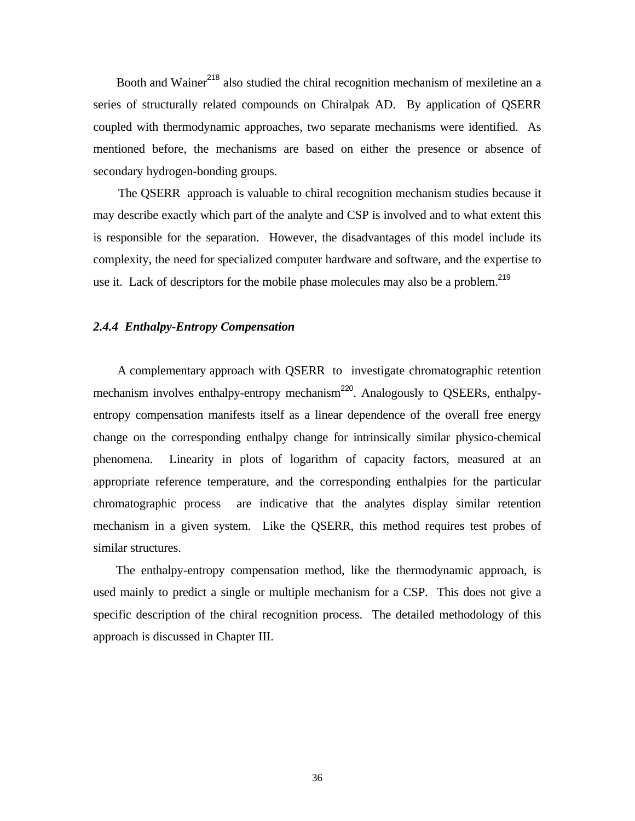Booth and Wainer<sup>218</sup> also studied the chiral recognition mechanism of mexiletine an a series of structurally related compounds on Chiralpak AD. By application of QSERR coupled with thermodynamic approaches, two separate mechanisms were identified. As mentioned before, the mechanisms are based on either the presence or absence of secondary hydrogen-bonding groups.

 The QSERR approach is valuable to chiral recognition mechanism studies because it may describe exactly which part of the analyte and CSP is involved and to what extent this is responsible for the separation. However, the disadvantages of this model include its complexity, the need for specialized computer hardware and software, and the expertise to use it. Lack of descriptors for the mobile phase molecules may also be a problem.<sup>219</sup>

#### *2.4.4 Enthalpy-Entropy Compensation*

 A complementary approach with QSERR to investigate chromatographic retention mechanism involves enthalpy-entropy mechanism<sup>220</sup>. Analogously to QSEERs, enthalpyentropy compensation manifests itself as a linear dependence of the overall free energy change on the corresponding enthalpy change for intrinsically similar physico-chemical phenomena. Linearity in plots of logarithm of capacity factors, measured at an appropriate reference temperature, and the corresponding enthalpies for the particular chromatographic process are indicative that the analytes display similar retention mechanism in a given system. Like the QSERR, this method requires test probes of similar structures.

 The enthalpy-entropy compensation method, like the thermodynamic approach, is used mainly to predict a single or multiple mechanism for a CSP. This does not give a specific description of the chiral recognition process. The detailed methodology of this approach is discussed in Chapter III.